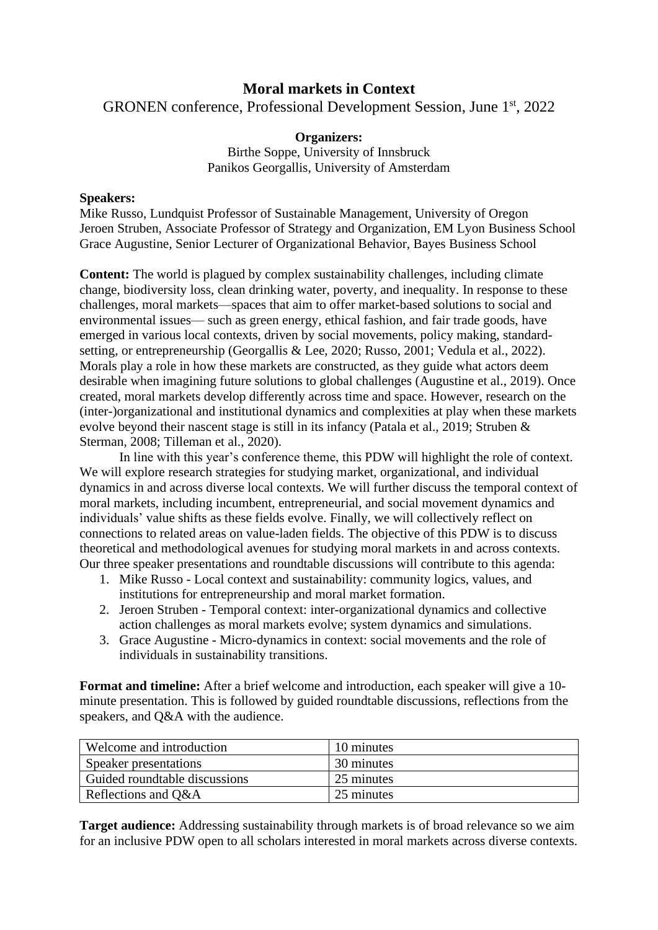## **Moral markets in Context**

GRONEN conference, Professional Development Session, June 1st, 2022

## **Organizers:**

Birthe Soppe, University of Innsbruck Panikos Georgallis, University of Amsterdam

## **Speakers:**

Mike Russo, Lundquist Professor of Sustainable Management, University of Oregon Jeroen Struben, Associate Professor of Strategy and Organization, EM Lyon Business School Grace Augustine, Senior Lecturer of Organizational Behavior, Bayes Business School

**Content:** The world is plagued by complex sustainability challenges, including climate change, biodiversity loss, clean drinking water, poverty, and inequality. In response to these challenges, moral markets—spaces that aim to offer market-based solutions to social and environmental issues— such as green energy, ethical fashion, and fair trade goods, have emerged in various local contexts, driven by social movements, policy making, standardsetting, or entrepreneurship (Georgallis & Lee, 2020; Russo, 2001; Vedula et al., 2022). Morals play a role in how these markets are constructed, as they guide what actors deem desirable when imagining future solutions to global challenges (Augustine et al., 2019). Once created, moral markets develop differently across time and space. However, research on the (inter-)organizational and institutional dynamics and complexities at play when these markets evolve beyond their nascent stage is still in its infancy (Patala et al., 2019; Struben & Sterman, 2008; Tilleman et al., 2020).

In line with this year's conference theme, this PDW will highlight the role of context. We will explore research strategies for studying market, organizational, and individual dynamics in and across diverse local contexts. We will further discuss the temporal context of moral markets, including incumbent, entrepreneurial, and social movement dynamics and individuals' value shifts as these fields evolve. Finally, we will collectively reflect on connections to related areas on value-laden fields. The objective of this PDW is to discuss theoretical and methodological avenues for studying moral markets in and across contexts. Our three speaker presentations and roundtable discussions will contribute to this agenda:

- 1. Mike Russo Local context and sustainability: community logics, values, and institutions for entrepreneurship and moral market formation.
- 2. Jeroen Struben Temporal context: inter-organizational dynamics and collective action challenges as moral markets evolve; system dynamics and simulations.
- 3. Grace Augustine Micro-dynamics in context: social movements and the role of individuals in sustainability transitions.

**Format and timeline:** After a brief welcome and introduction, each speaker will give a 10 minute presentation. This is followed by guided roundtable discussions, reflections from the speakers, and Q&A with the audience.

| Welcome and introduction      | 10 minutes |
|-------------------------------|------------|
| Speaker presentations         | 30 minutes |
| Guided roundtable discussions | 25 minutes |
| Reflections and Q&A           | 25 minutes |

**Target audience:** Addressing sustainability through markets is of broad relevance so we aim for an inclusive PDW open to all scholars interested in moral markets across diverse contexts.